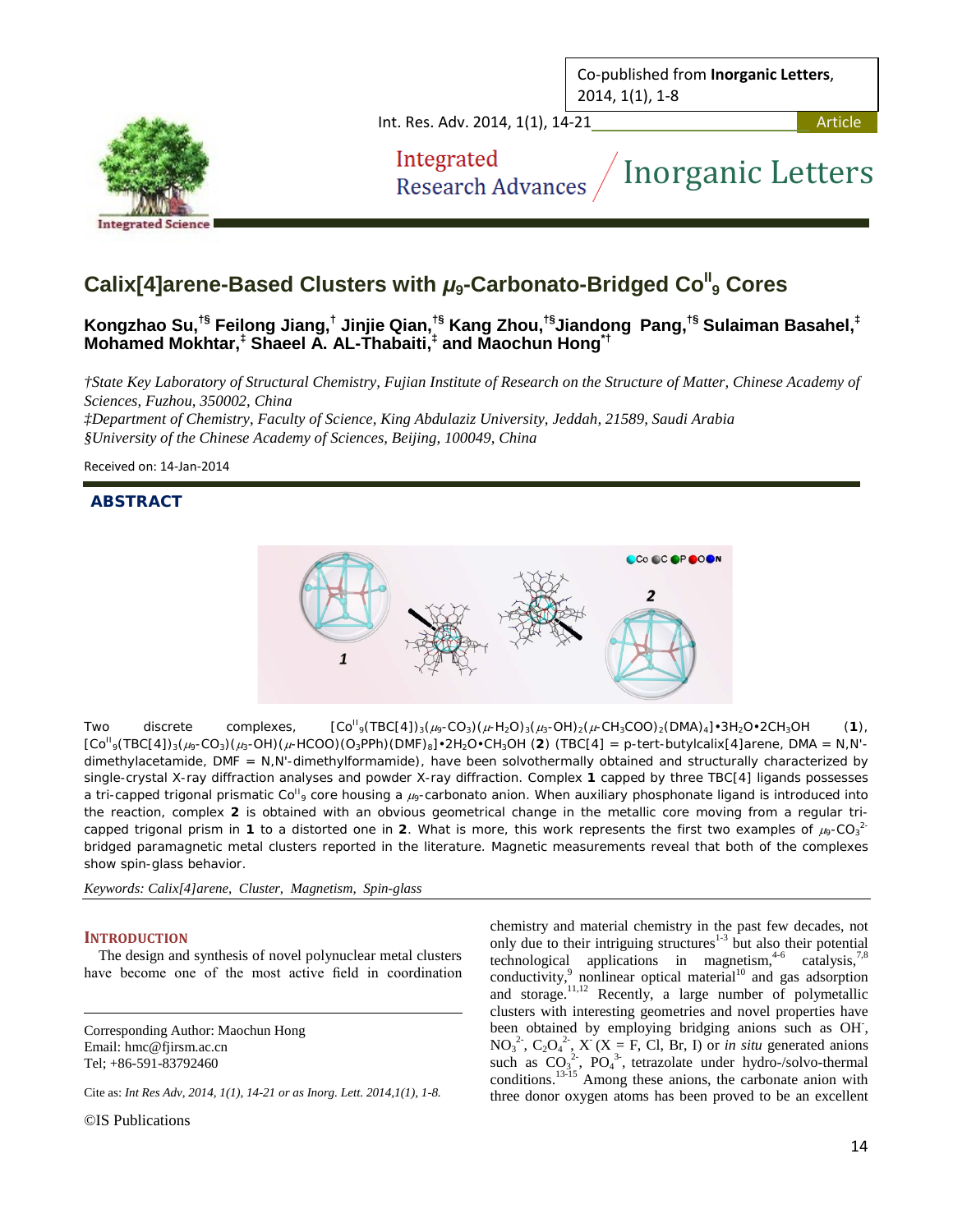Co-published from **Inorganic Letters**, 2014, 1(1), 1-8



Int. Res. Adv. 2014, 1(1), 14-21 . Article . And Article . And Article . Article . Article . Article . Article

Integrated **Research Advances** 

# Inorganic Letters

# **Calix[4]arene-Based Clusters with**  $\mu$ **<sub>9</sub>-Carbonato-Bridged Co<sup>ll</sup>, Cores**

**Kongzhao Su,†§ Feilong Jiang,† Jinjie Qian, †§ Kang Zhou, †§ Jiandong Pang, †§ Sulaiman Basahel,‡ Mohamed Mokhtar, ‡ Shaeel A. AL-Thabaiti, ‡ and Maochun Hong\*†**

*†State Key Laboratory of Structural Chemistry, Fujian Institute of Research on the Structure of Matter, Chinese Academy of Sciences, Fuzhou, 350002, China*

*‡Department of Chemistry, Faculty of Science, King Abdulaziz University, Jeddah, 21589, Saudi Arabia §University of the Chinese Academy of Sciences, Beijing, 100049, China*

Received on: 14-Jan-2014

# **ABSTRACT**



Two discrete complexes,  $[Co<sup>H</sup><sub>9</sub>(TBC[4])<sub>3</sub>(\mu<sub>9</sub>-CO<sub>3</sub>)(\mu<sub>7</sub>-H<sub>2</sub>O)<sub>3</sub>(\mu<sub>3</sub>-OH)<sub>2</sub>(\mu<sub>7</sub>-CH<sub>3</sub>COO)<sub>2</sub>(DMA)<sub>4</sub>] $\cdot$ 3H<sub>2</sub>O $\cdot$ 2CH<sub>3</sub>OH (1),$  $[CO^{II}$ <sub>9</sub>(TBC[4])<sub>3</sub>( $\mu$ <sub>9</sub>-CO<sub>3</sub>)( $\mu$ <sub>3</sub>-OH)( $\mu$ -HCOO)(O<sub>3</sub>PPh)(DMF)<sub>8</sub>]•2H<sub>2</sub>O•CH<sub>3</sub>OH (**2**) (TBC[4] = *p*-tert-butylcalix[4]arene, DMA = N,N'dimethylacetamide, DMF = N,N'-dimethylformamide), have been solvothermally obtained and structurally characterized by single-crystal X-ray diffraction analyses and powder X-ray diffraction. Complex **1** capped by three TBC[4] ligands possesses a tri-capped trigonal prismatic Co<sup>II</sup><sub>9</sub> core housing a  $\mu_9$ -carbonato anion. When auxiliary phosphonate ligand is introduced into the reaction, complex **2** is obtained with an obvious geometrical change in the metallic core moving from a regular tricapped trigonal prism in 1 to a distorted one in 2. What is more, this work represents the first two examples of  $\mu_9$ -CO<sub>3</sub><sup>2</sup> bridged paramagnetic metal clusters reported in the literature. Magnetic measurements reveal that both of the complexes show spin-glass behavior.

*Keywords: Calix[4]arene, Cluster, Magnetism, Spin-glass*

## **INTRODUCTION**

The design and synthesis of novel polynuclear metal clusters have become one of the most active field in coordination

Corresponding Author: Maochun Hong Email: hmc@fjirsm.ac.cn Tel; +86-591-83792460

Cite as: *Int Res Adv, 2014, 1(1), 14-21 or as Inorg. Lett. 2014,1(1), 1-8.*

©IS Publications

chemistry and material chemistry in the past few decades, not only due to their intriguing structures<sup>1-3</sup> but also their potential technological applications in magnetism,  $4-6$  catalysis,  $7.8$ conductivity, $9$  nonlinear optical material<sup>10</sup> and gas adsorption and storage. 11,12 Recently, a large number of polymetallic clusters with interesting geometries and novel properties have been obtained by employing bridging anions such as OH,  $NO<sub>3</sub><sup>2</sup>$ ,  $C<sub>2</sub>O<sub>4</sub><sup>2</sup>$ ,  $X<sup>2</sup>(X = F, Cl, Br, I)$  or *in situ* generated anions such as  $CO<sub>3</sub><sup>2</sup>$ , PO<sub>4</sub><sup>3</sup>, tetrazolate under hydro-/solvo-thermal conditions.<sup>13-15</sup> Among these anions, the carbonate anion with three donor oxygen atoms has been proved to be an excellent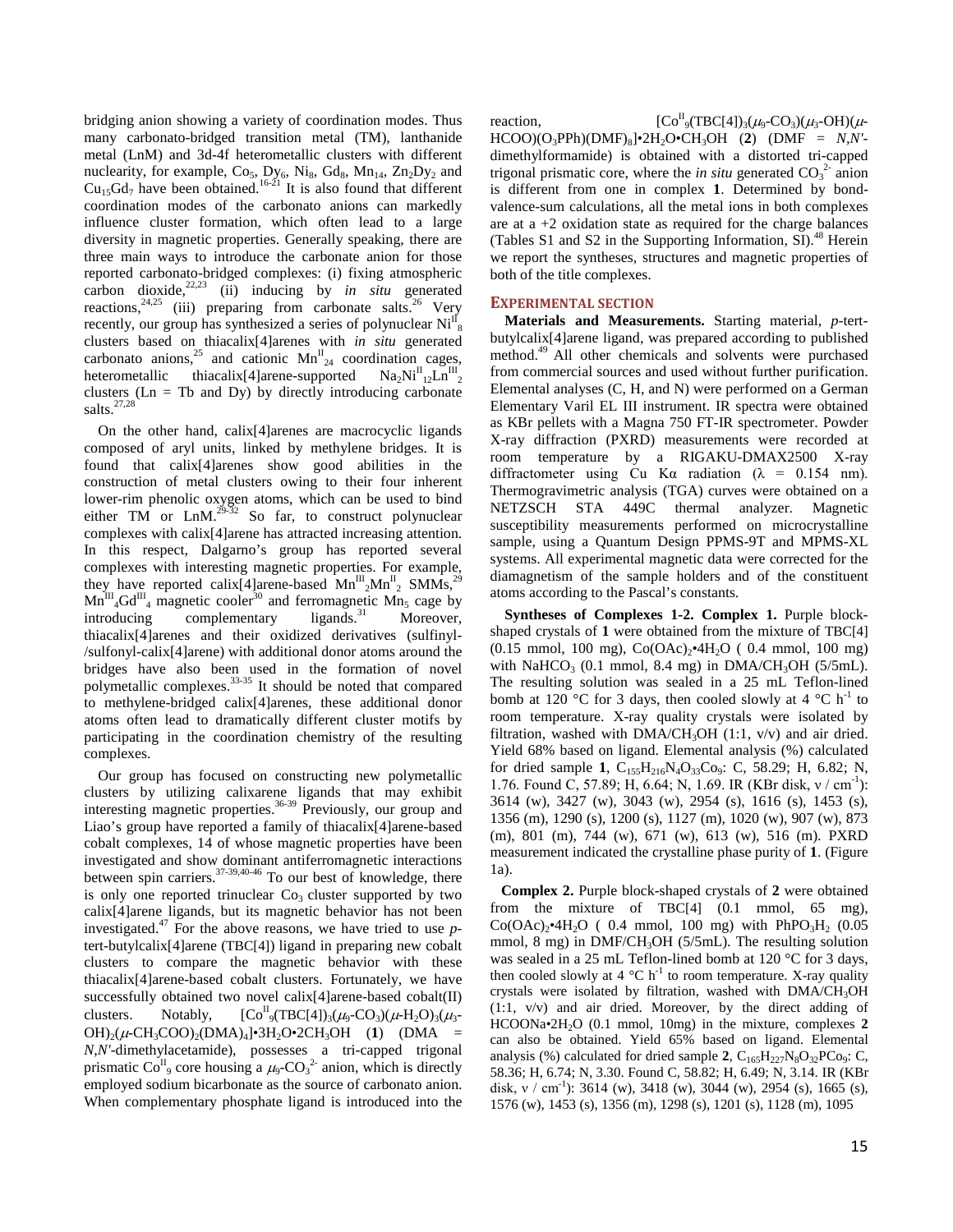bridging anion showing a variety of coordination modes. Thus many carbonato-bridged transition metal (TM), lanthanide metal (LnM) and 3d-4f heterometallic clusters with different nuclearity, for example,  $Co<sub>5</sub>$ ,  $Dy<sub>6</sub>$ ,  $Ni<sub>8</sub>$ ,  $Gd<sub>8</sub>$ ,  $Mn<sub>14</sub>$ ,  $Zn<sub>2</sub>Dy<sub>2</sub>$  and  $Cu_{15}Gd_{7}$  have been obtained.<sup>16-21</sup> It is also found that different coordination modes of the carbonato anions can markedly influence cluster formation, which often lead to a large diversity in magnetic properties. Generally speaking, there are three main ways to introduce the carbonate anion for those reported carbonato-bridged complexes: (i) fixing atmospheric carbon dioxide,<sup>22,23</sup> (ii) inducing by *in situ* generated reactions,  $24.25$  (iii) preparing from carbonate salts.<sup>26</sup> Very recently, our group has synthesized a series of polynuclear  $\text{Ni}^{\text{II}}_{8}$ clusters based on thiacalix[4]arenes with *in situ* generated carbonato anions,<sup>25</sup> and cationic  $Mn_{24}^{II}$  coordination cages, heterometallic thiacalix[4]arene-supported  $_{12}$ Ln<sup>III</sup><sub>2</sub> clusters ( $\text{Ln} = \text{Tb}$  and  $\text{Dy}$ ) by directly introducing carbonate salts. $^{27,28}$ 

On the other hand, calix[4]arenes are macrocyclic ligands composed of aryl units, linked by methylene bridges. It is found that calix[4]arenes show good abilities in the construction of metal clusters owing to their four inherent lower-rim phenolic oxygen atoms, which can be used to bind either  $TM$  or  $LnM$ .<sup>29-32</sup> So far, to construct polynuclear complexes with calix[4]arene has attracted increasing attention. In this respect, Dalgarno's group has reported several complexes with interesting magnetic properties. For example, they have reported calix[4]arene-based  $Mn^{III}_{2}Mn^{II}_{2}$  SMMs,<sup>29</sup>  $Mn^{III}$ <sub>4</sub>Gd<sup>III</sup><sub>4</sub> magnetic cooler<sup>30</sup> and ferromagnetic Mn<sub>5</sub> cage by  $introducing$  complementary ligands. $^{31}$  Moreover, thiacalix[4]arenes and their oxidized derivatives (sulfinyl- /sulfonyl-calix[4]arene) with additional donor atoms around the bridges have also been used in the formation of novel polymetallic complexes.<sup>33-35</sup> It should be noted that compared to methylene-bridged calix[4]arenes, these additional donor atoms often lead to dramatically different cluster motifs by participating in the coordination chemistry of the resulting complexes.

Our group has focused on constructing new polymetallic clusters by utilizing calixarene ligands that may exhibit interesting magnetic properties.<sup>36-39</sup> Previously, our group and Liao's group have reported a family of thiacalix[4]arene-based cobalt complexes, 14 of whose magnetic properties have been investigated and show dominant antiferromagnetic interactions between spin carriers. $37-39,40-46$  To our best of knowledge, there is only one reported trinuclear  $Co<sub>3</sub>$  cluster supported by two calix[4]arene ligands, but its magnetic behavior has not been investigated.<sup>47</sup> For the above reasons, we have tried to use *p*tert-butylcalix[4]arene (TBC[4]) ligand in preparing new cobalt clusters to compare the magnetic behavior with these thiacalix[4]arene-based cobalt clusters. Fortunately, we have successfully obtained two novel calix[4]arene-based cobalt(II) clusters. Notably,  $[Co^{II}_{9}(TBC[4])_{3}(\mu_{9}-CO_{3})(\mu_{7}H_{2}O)_{3}(\mu_{3} OH)_2(\mu$ -CH<sub>3</sub>COO)<sub>2</sub>(DMA)<sub>4</sub>]•3H<sub>2</sub>O•2CH<sub>3</sub>OH (1) (DMA = *N,N'*-dimethylacetamide), possesses a tri-capped trigonal prismatic Co<sup>II</sup><sub>9</sub> core housing a  $\mu_9$ -CO<sub>3</sub><sup>2</sup> anion, which is directly employed sodium bicarbonate as the source of carbonato anion. When complementary phosphate ligand is introduced into the

reaction.  $[CO^{II}_{9}(TBC[4])_{3}(\mu_{9}-CO_{3})(\mu_{3}-OH)(\mu_{7})$  $HCOO(O_3PPh)(DMF)_8\bullet^2H_2O\bullet CH_3OH$  (2) ( $DMF = N$ , N'dimethylformamide) is obtained with a distorted tri-capped trigonal prismatic core, where the *in situ* generated  $CO_3^2$  anion is different from one in complex **1**. Determined by bondvalence-sum calculations, all the metal ions in both complexes are at  $a + 2$  oxidation state as required for the charge balances (Tables S1 and S2 in the Supporting Information, SI). <sup>48</sup> Herein we report the syntheses, structures and magnetic properties of both of the title complexes.

### **EXPERIMENTAL SECTION**

**Materials and Measurements.** Starting material, *p*-tertbutylcalix[4]arene ligand, was prepared according to published method.<sup>49</sup> All other chemicals and solvents were purchased from commercial sources and used without further purification. Elemental analyses (C, H, and N) were performed on a German Elementary Varil EL III instrument. IR spectra were obtained as KBr pellets with a Magna 750 FT-IR spectrometer. Powder X-ray diffraction (PXRD) measurements were recorded at room temperature by a RIGAKU-DMAX2500 X-ray diffractometer using Cu K $\alpha$  radiation ( $\lambda$  = 0.154 nm). Thermogravimetric analysis (TGA) curves were obtained on a NETZSCH STA 449C thermal analyzer. Magnetic susceptibility measurements performed on microcrystalline sample, using a Quantum Design PPMS-9T and MPMS-XL systems. All experimental magnetic data were corrected for the diamagnetism of the sample holders and of the constituent atoms according to the Pascal's constants.

**Syntheses of Complexes 1-2. Complex 1.** Purple blockshaped crystals of **1** were obtained from the mixture of TBC[4]  $(0.15 \text{ mmol}, 100 \text{ mg})$ , Co $(OAc)_{2}$ •4H<sub>2</sub>O ( 0.4 mmol, 100 mg) with NaHCO<sub>3</sub> (0.1 mmol, 8.4 mg) in DMA/CH<sub>3</sub>OH (5/5mL). The resulting solution was sealed in a 25 mL Teflon-lined bomb at 120 °C for 3 days, then cooled slowly at 4 °C h<sup>-1</sup> to room temperature. X-ray quality crystals were isolated by filtration, washed with  $DMA/CH_3OH$  (1:1, v/v) and air dried. Yield 68% based on ligand. Elemental analysis (%) calculated for dried sample **1**, C<sub>155</sub>H<sub>216</sub>N<sub>4</sub>O<sub>33</sub>Co<sub>9</sub>: C, 58.29; H, 6.82; N, 1.76. Found C, 57.89; H, 6.64; N, 1.69. IR (KBr disk, ν / cm<sup>-1</sup>): 3614 (w), 3427 (w), 3043 (w), 2954 (s), 1616 (s), 1453 (s), 1356 (m), 1290 (s), 1200 (s), 1127 (m), 1020 (w), 907 (w), 873 (m), 801 (m), 744 (w), 671 (w), 613 (w), 516 (m). PXRD measurement indicated the crystalline phase purity of **1**. (Figure 1a).

**Complex 2.** Purple block-shaped crystals of **2** were obtained from the mixture of TBC[4] (0.1 mmol, 65 mg),  $Co(OAc)_2 \cdot 4H_2O$  ( 0.4 mmol, 100 mg) with PhPO<sub>3</sub>H<sub>2</sub> (0.05 mmol, 8 mg) in DMF/CH<sub>3</sub>OH (5/5mL). The resulting solution was sealed in a 25 mL Teflon-lined bomb at 120 °C for 3 days, then cooled slowly at 4  $^{\circ}$ C h<sup>-1</sup> to room temperature. X-ray quality crystals were isolated by filtration, washed with DMA/CH3OH (1:1, v/v) and air dried. Moreover, by the direct adding of HCOONa•2H2O (0.1 mmol, 10mg) in the mixture, complexes **2**  can also be obtained. Yield 65% based on ligand. Elemental analysis (%) calculated for dried sample  $2$ ,  $C_{165}H_{227}N_8O_{32}PCo_9$ : C, 58.36; H, 6.74; N, 3.30. Found C, 58.82; H, 6.49; N, 3.14. IR (KBr disk,  $v / cm^{-1}$ ): 3614 (w), 3418 (w), 3044 (w), 2954 (s), 1665 (s), 1576 (w), 1453 (s), 1356 (m), 1298 (s), 1201 (s), 1128 (m), 1095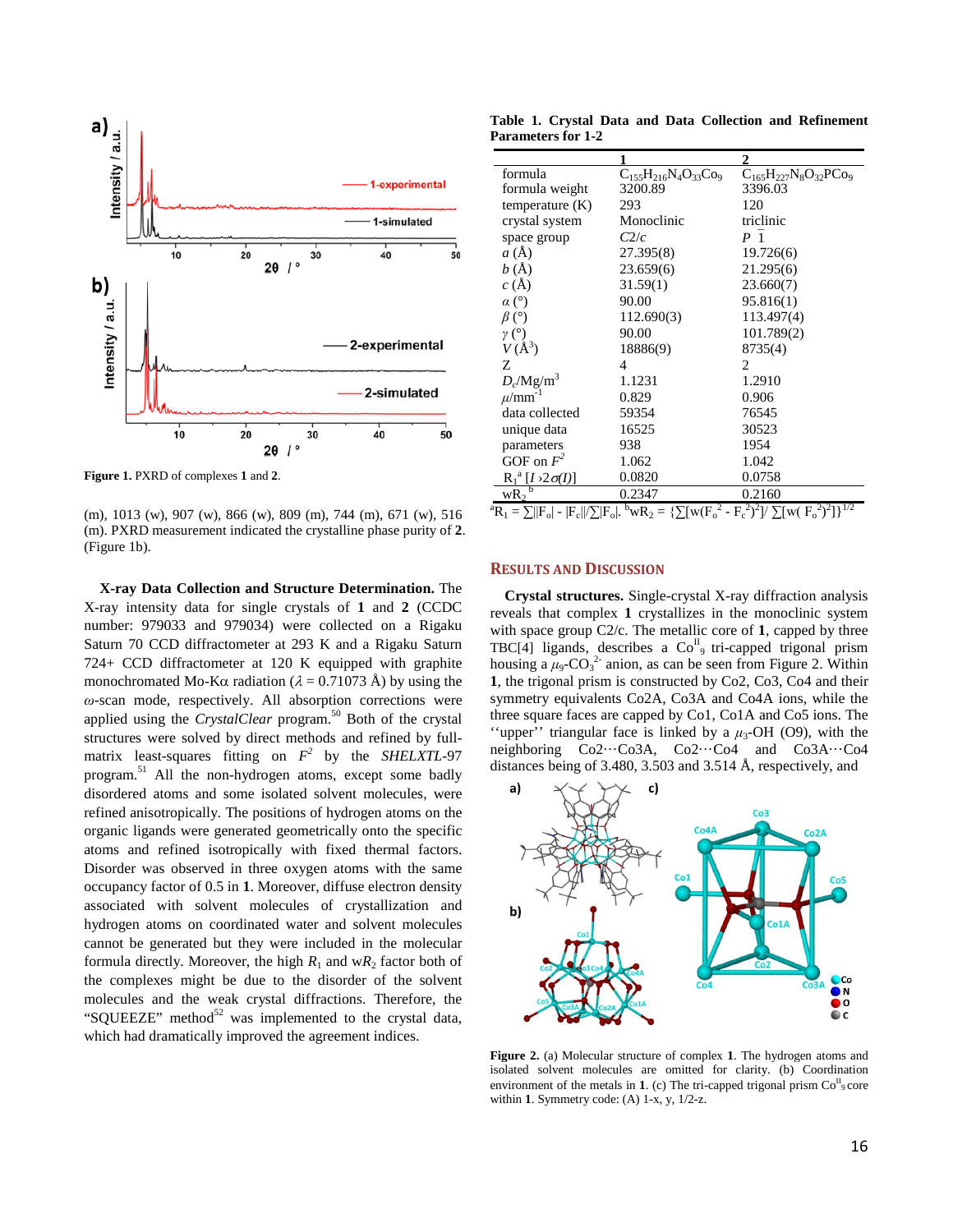

**Figure 1.** PXRD of complexes **1** and **2**.

(m), 1013 (w), 907 (w), 866 (w), 809 (m), 744 (m), 671 (w), 516 (m). PXRD measurement indicated the crystalline phase purity of **2**. (Figure 1b).

**X-ray Data Collection and Structure Determination.** The X-ray intensity data for single crystals of **1** and **2** (CCDC number: 979033 and 979034) were collected on a Rigaku Saturn 70 CCD diffractometer at 293 K and a Rigaku Saturn 724+ CCD diffractometer at 120 K equipped with graphite monochromated Mo-K $\alpha$  radiation ( $\lambda = 0.71073$  Å) by using the *ω*-scan mode, respectively. All absorption corrections were applied using the *CrystalClear* program.<sup>50</sup> Both of the crystal structures were solved by direct methods and refined by fullmatrix least-squares fitting on  $F^2$  by the *SHELXTL*-97 program.<sup>51</sup> All the non-hydrogen atoms, except some badly disordered atoms and some isolated solvent molecules, were refined anisotropically. The positions of hydrogen atoms on the organic ligands were generated geometrically onto the specific atoms and refined isotropically with fixed thermal factors. Disorder was observed in three oxygen atoms with the same occupancy factor of 0.5 in **1**. Moreover, diffuse electron density associated with solvent molecules of crystallization and hydrogen atoms on coordinated water and solvent molecules cannot be generated but they were included in the molecular formula directly. Moreover, the high  $R_1$  and w $R_2$  factor both of the complexes might be due to the disorder of the solvent molecules and the weak crystal diffractions. Therefore, the "SQUEEZE" method $52$  was implemented to the crystal data, which had dramatically improved the agreement indices.

**Table 1. Crystal Data and Data Collection and Refinement Parameters for 1-2**

| formula                                                                                                                                             | $C_{155}H_{216}N_4O_{33}Co_9$ | $C_{165}H_{227}N_8O_{32}PC_{99}$ |
|-----------------------------------------------------------------------------------------------------------------------------------------------------|-------------------------------|----------------------------------|
| formula weight                                                                                                                                      | 3200.89                       | 3396.03                          |
| temperature $(K)$                                                                                                                                   | 293                           | 120                              |
| crystal system                                                                                                                                      | Monoclinic                    | triclinic                        |
| space group                                                                                                                                         | C2/c                          | P <sub>1</sub>                   |
| $a(\AA)$                                                                                                                                            | 27.395(8)                     | 19.726(6)                        |
| b(A)                                                                                                                                                | 23.659(6)                     | 21.295(6)                        |
| c(A)                                                                                                                                                | 31.59(1)                      | 23.660(7)                        |
| $\alpha$ (°)                                                                                                                                        | 90.00                         | 95.816(1)                        |
| $\beta$ (°)                                                                                                                                         | 112.690(3)                    | 113.497(4)                       |
| $\gamma$ (°)                                                                                                                                        | 90.00                         | 101.789(2)                       |
| $V(\AA^3)$                                                                                                                                          | 18886(9)                      | 8735(4)                          |
| Ζ                                                                                                                                                   | 4                             | 2                                |
| $D_c/Mg/m^3$                                                                                                                                        | 1.1231                        | 1.2910                           |
| $\mu$ /mm <sup>-1</sup>                                                                                                                             | 0.829                         | 0.906                            |
| data collected                                                                                                                                      | 59354                         | 76545                            |
| unique data                                                                                                                                         | 16525                         | 30523                            |
| parameters                                                                                                                                          | 938                           | 1954                             |
| GOF on $F^2$                                                                                                                                        | 1.062                         | 1.042                            |
| $R_1^a [I \tImes 2\sigma(I)]$                                                                                                                       | 0.0820                        | 0.0758                           |
| $wR_2$                                                                                                                                              | 0.2347                        | 0.2160                           |
| $^{b}$ wR <sub>2</sub> = { $\sum [w(F_0^2 - F_c^2)^2]/\sum [w(F_0^2)^2]$ } <sup>1/2</sup><br>${}^{a}R_{1} = \sum   F_{o}  -  F_{c}  /\sum  F_{o} .$ |                               |                                  |

#### **RESULTS AND DISCUSSION**

**Crystal structures.** Single-crystal X-ray diffraction analysis reveals that complex **1** crystallizes in the monoclinic system with space group C2/c. The metallic core of **1**, capped by three TBC[4] ligands, describes a  $Co<sup>H</sup><sub>9</sub>$  tri-capped trigonal prism housing a  $\mu_9$ -CO<sub>3</sub><sup>2</sup> anion, as can be seen from Figure 2. Within **1**, the trigonal prism is constructed by Co2, Co3, Co4 and their symmetry equivalents Co2A, Co3A and Co4A ions, while the three square faces are capped by Co1, Co1A and Co5 ions. The "upper" triangular face is linked by a  $\mu_3$ -OH (O9), with the neighboring Co2···Co3A, Co2···Co4 and Co3A···Co4 distances being of 3.480, 3.503 and 3.514 Å, respectively, and



**Figure 2.** (a) Molecular structure of complex **1**. The hydrogen atoms and isolated solvent molecules are omitted for clarity. (b) Coordination environment of the metals in 1. (c) The tri-capped trigonal prism  $Co<sup>H</sup><sub>9</sub> core$ within **1**. Symmetry code: (A) 1-x, y, 1/2-z.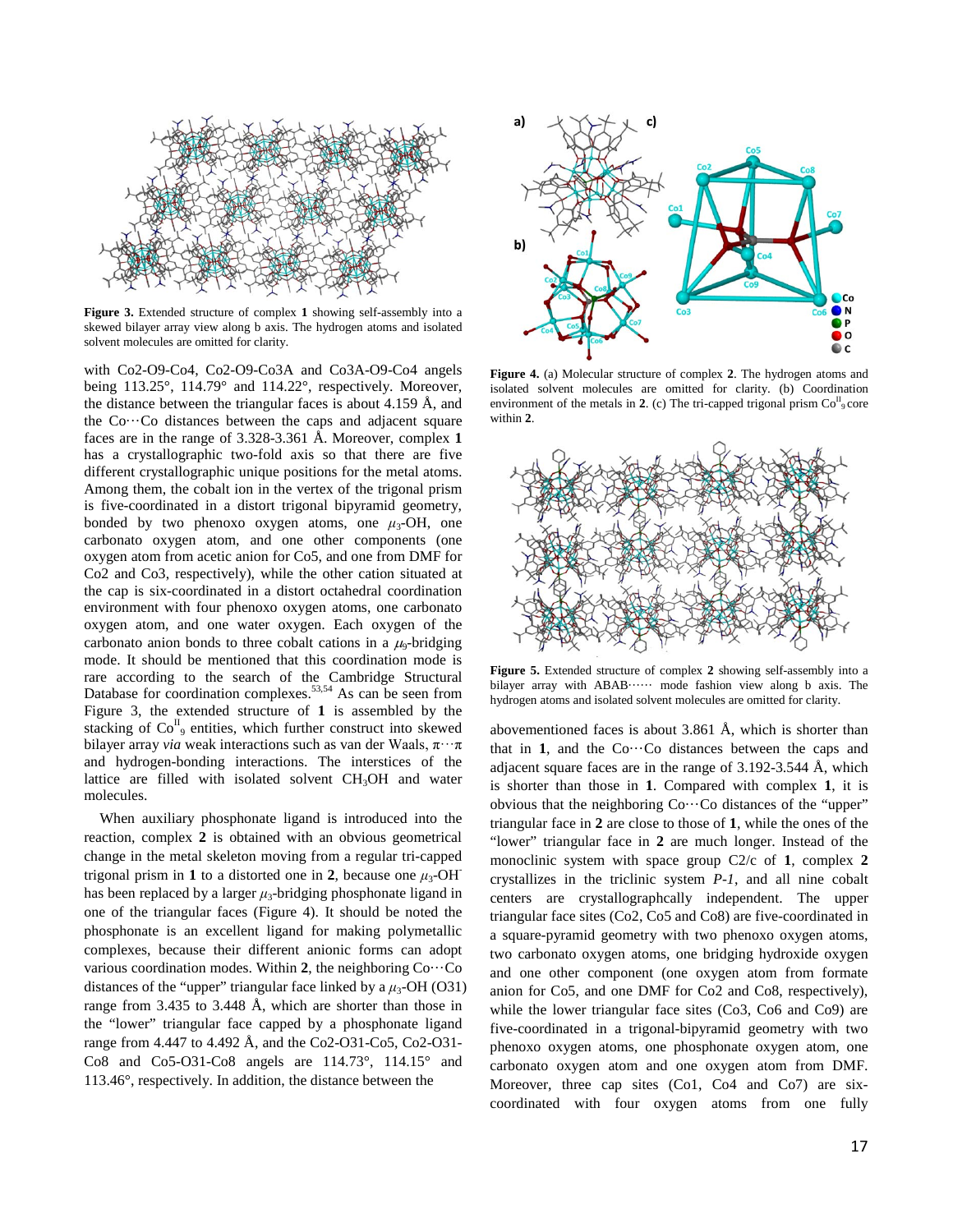

**Figure 3.** Extended structure of complex **1** showing self-assembly into a skewed bilayer array view along b axis. The hydrogen atoms and isolated solvent molecules are omitted for clarity.

with Co2-O9-Co4, Co2-O9-Co3A and Co3A-O9-Co4 angels being 113.25°, 114.79° and 114.22°, respectively. Moreover, the distance between the triangular faces is about 4.159 Å, and the  $Co...Co$  distances between the caps and adjacent square faces are in the range of 3.328-3.361 Å. Moreover, complex **1** has a crystallographic two-fold axis so that there are five different crystallographic unique positions for the metal atoms. Among them, the cobalt ion in the vertex of the trigonal prism is five-coordinated in a distort trigonal bipyramid geometry, bonded by two phenoxo oxygen atoms, one  $\mu_3$ -OH, one carbonato oxygen atom, and one other components (one oxygen atom from acetic anion for Co5, and one from DMF for Co2 and Co3, respectively), while the other cation situated at the cap is six-coordinated in a distort octahedral coordination environment with four phenoxo oxygen atoms, one carbonato oxygen atom, and one water oxygen. Each oxygen of the carbonato anion bonds to three cobalt cations in a  $\mu_9$ -bridging mode. It should be mentioned that this coordination mode is rare according to the search of the Cambridge Structural Database for coordination complexes.<sup>53,54</sup> As can be seen from Figure 3, the extended structure of **1** is assembled by the stacking of  $Co^{II}_{9}$  entities, which further construct into skewed bilayer array *via* weak interactions such as van der Waals, π···π and hydrogen-bonding interactions. The interstices of the lattice are filled with isolated solvent  $CH<sub>3</sub>OH$  and water molecules.

When auxiliary phosphonate ligand is introduced into the reaction, complex **2** is obtained with an obvious geometrical change in the metal skeleton moving from a regular tri-capped trigonal prism in 1 to a distorted one in 2, because one  $\mu_3$ -OH<sup>-</sup> has been replaced by a larger  $\mu_3$ -bridging phosphonate ligand in one of the triangular faces (Figure 4). It should be noted the phosphonate is an excellent ligand for making polymetallic complexes, because their different anionic forms can adopt various coordination modes. Within **2**, the neighboring Co···Co distances of the "upper" triangular face linked by a  $\mu_3$ -OH (O31) range from 3.435 to 3.448 Å, which are shorter than those in the "lower" triangular face capped by a phosphonate ligand range from 4.447 to 4.492 Å, and the Co2-O31-Co5, Co2-O31- Co8 and Co5-O31-Co8 angels are 114.73°, 114.15° and 113.46°, respectively. In addition, the distance between the



**Figure 4.** (a) Molecular structure of complex **2**. The hydrogen atoms and isolated solvent molecules are omitted for clarity. (b) Coordination environment of the metals in  $2$ . (c) The tri-capped trigonal prism  $Co<sup>H</sup><sub>9</sub> core$ within **2**.



**Figure 5.** Extended structure of complex **2** showing self-assembly into a bilayer array with ABAB······ mode fashion view along b axis. The hydrogen atoms and isolated solvent molecules are omitted for clarity.

abovementioned faces is about 3.861 Å, which is shorter than that in  $1$ , and the  $Co...Co$  distances between the caps and adjacent square faces are in the range of 3.192-3.544 Å, which is shorter than those in **1**. Compared with complex **1**, it is obvious that the neighboring Co···Co distances of the "upper" triangular face in **2** are close to those of **1**, while the ones of the "lower" triangular face in **2** are much longer. Instead of the monoclinic system with space group C2/c of **1**, complex **2** crystallizes in the triclinic system *P-1*, and all nine cobalt centers are crystallographcally independent. The upper triangular face sites (Co2, Co5 and Co8) are five-coordinated in a square-pyramid geometry with two phenoxo oxygen atoms, two carbonato oxygen atoms, one bridging hydroxide oxygen and one other component (one oxygen atom from formate anion for Co5, and one DMF for Co2 and Co8, respectively), while the lower triangular face sites (Co3, Co6 and Co9) are five-coordinated in a trigonal-bipyramid geometry with two phenoxo oxygen atoms, one phosphonate oxygen atom, one carbonato oxygen atom and one oxygen atom from DMF. Moreover, three cap sites (Co1, Co4 and Co7) are sixcoordinated with four oxygen atoms from one fully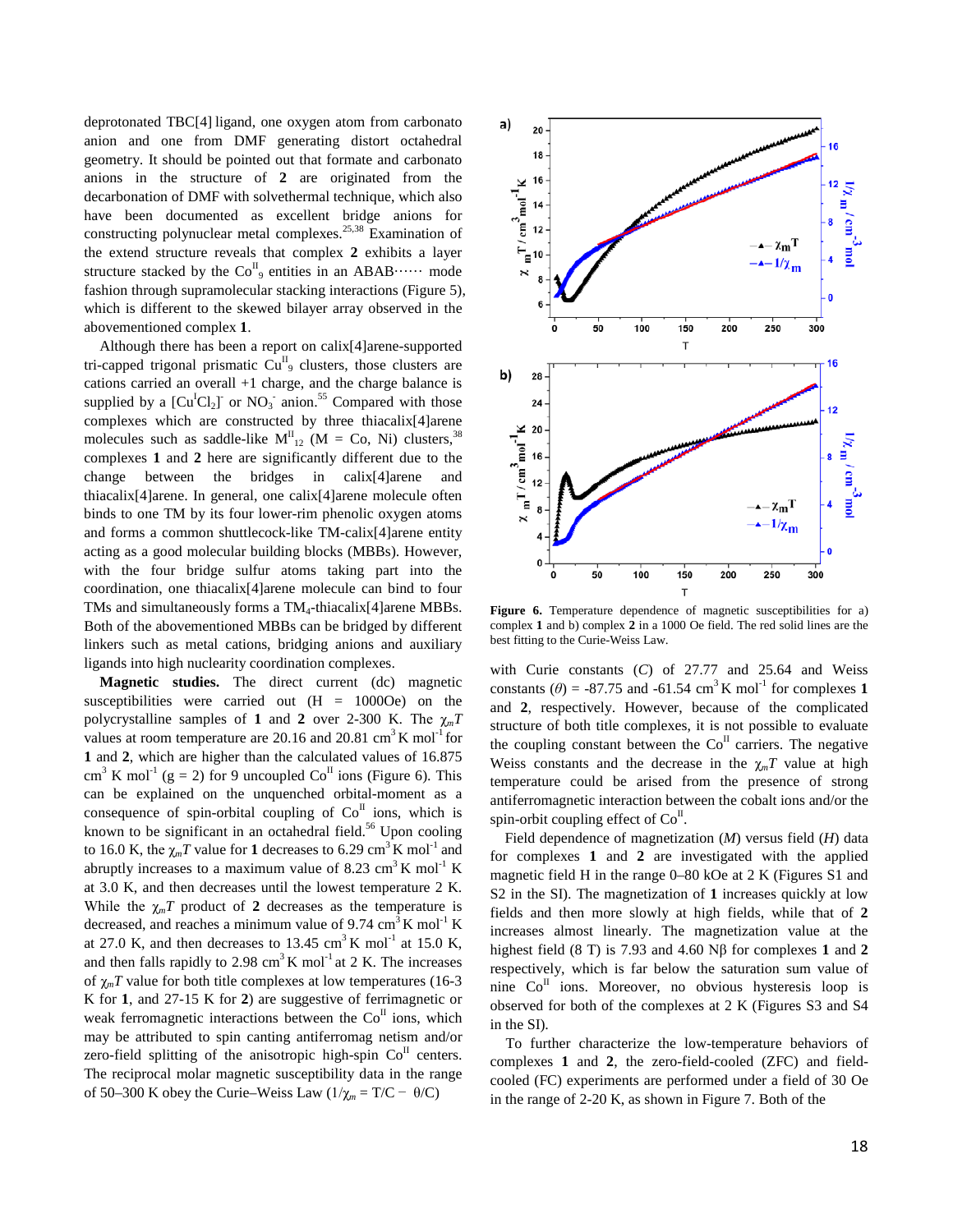deprotonated TBC[4] ligand, one oxygen atom from carbonato anion and one from DMF generating distort octahedral geometry. It should be pointed out that formate and carbonato anions in the structure of **2** are originated from the decarbonation of DMF with solvethermal technique, which also have been documented as excellent bridge anions for constructing polynuclear metal complexes.25,38 Examination of the extend structure reveals that complex **2** exhibits a layer structure stacked by the  $Co^{II}_{9}$  entities in an ABAB······ mode fashion through supramolecular stacking interactions (Figure 5), which is different to the skewed bilayer array observed in the abovementioned complex **1**.

Although there has been a report on calix[4]arene-supported tri-capped trigonal prismatic  $Cu^{II}_{9}$  clusters, those clusters are cations carried an overall +1 charge, and the charge balance is supplied by a  $\left[\text{Cu}^{\text{I}}\text{Cl}_{2}\right]$  or NO<sub>3</sub> anion.<sup>55</sup> Compared with those complexes which are constructed by three thiacalix[4]arene molecules such as saddle-like  $M_{12}^{\text{II}}$  (M = Co, Ni) clusters,<sup>38</sup> complexes **1** and **2** here are significantly different due to the change between the bridges in calix[4]arene and thiacalix[4]arene. In general, one calix[4]arene molecule often binds to one TM by its four lower-rim phenolic oxygen atoms and forms a common shuttlecock-like TM-calix[4]arene entity acting as a good molecular building blocks (MBBs). However, with the four bridge sulfur atoms taking part into the coordination, one thiacalix[4]arene molecule can bind to four TMs and simultaneously forms a  $TM_4$ -thiacalix[4]arene MBBs. Both of the abovementioned MBBs can be bridged by different linkers such as metal cations, bridging anions and auxiliary ligands into high nuclearity coordination complexes.

**Magnetic studies.** The direct current (dc) magnetic susceptibilities were carried out  $(H = 10000e)$  on the polycrystalline samples of **1** and **2** over 2-300 K. The  $\chi_m T$ values at room temperature are 20.16 and 20.81  $\text{cm}^3 \text{K} \text{ mol}^{-1}$  for **1** and **2**, which are higher than the calculated values of 16.875  $cm<sup>3</sup>$  K mol<sup>-1</sup> (g = 2) for 9 uncoupled Co<sup>II</sup> ions (Figure 6). This can be explained on the unquenched orbital-moment as a consequence of spin-orbital coupling of  $Co<sup>H</sup>$  ions, which is known to be significant in an octahedral field.<sup>56</sup> Upon cooling to 16.0 K, the  $\chi_m T$  value for 1 decreases to 6.29 cm<sup>3</sup> K mol<sup>-1</sup> and abruptly increases to a maximum value of 8.23 cm<sup>3</sup> K mol<sup>-1</sup> K at 3.0 K, and then decreases until the lowest temperature 2 K. While the  $\chi_m T$  product of 2 decreases as the temperature is decreased, and reaches a minimum value of  $9.74 \text{ cm}^3 \text{ K} \text{ mol}^{-1} \text{ K}$ at 27.0 K, and then decreases to 13.45 cm<sup>3</sup> K mol<sup>-1</sup> at 15.0 K, and then falls rapidly to 2.98  $\text{cm}^3 \text{K} \text{ mol}^{-1}$  at 2 K. The increases of  $\gamma_m T$  value for both title complexes at low temperatures (16-3) K for **1**, and 27-15 K for **2**) are suggestive of ferrimagnetic or weak ferromagnetic interactions between the  $Co<sup>II</sup>$  ions, which may be attributed to spin canting antiferromag netism and/or zero-field splitting of the anisotropic high-spin  $Co<sup>H</sup>$  centers. The reciprocal molar magnetic susceptibility data in the range of 50–300 K obey the Curie–Weiss Law  $(1/\chi_m = T/C - \theta/C)$ 



Figure 6. Temperature dependence of magnetic susceptibilities for a) complex **1** and b) complex **2** in a 1000 Oe field. The red solid lines are the best fitting to the Curie-Weiss Law.

with Curie constants (*C*) of 27.77 and 25.64 and Weiss constants ( $\theta$ ) = -87.75 and -61.54 cm<sup>3</sup> K mol<sup>-1</sup> for complexes 1 and **2**, respectively. However, because of the complicated structure of both title complexes, it is not possible to evaluate the coupling constant between the  $Co<sup>H</sup>$  carriers. The negative Weiss constants and the decrease in the  $\gamma_m T$  value at high temperature could be arised from the presence of strong antiferromagnetic interaction between the cobalt ions and/or the spin-orbit coupling effect of  $Co<sup>H</sup>$ .

Field dependence of magnetization (*M*) versus field (*H*) data for complexes **1** and **2** are investigated with the applied magnetic field H in the range 0–80 kOe at 2 K (Figures S1 and S2 in the SI). The magnetization of **1** increases quickly at low fields and then more slowly at high fields, while that of **2** increases almost linearly. The magnetization value at the highest field (8 T) is 7.93 and 4.60 Nβ for complexes **1** and **2** respectively, which is far below the saturation sum value of nine  $Co<sup>H</sup>$  ions. Moreover, no obvious hysteresis loop is observed for both of the complexes at 2 K (Figures S3 and S4 in the SI).

To further characterize the low-temperature behaviors of complexes **1** and **2**, the zero-field-cooled (ZFC) and fieldcooled (FC) experiments are performed under a field of 30 Oe in the range of 2-20 K, as shown in Figure 7. Both of the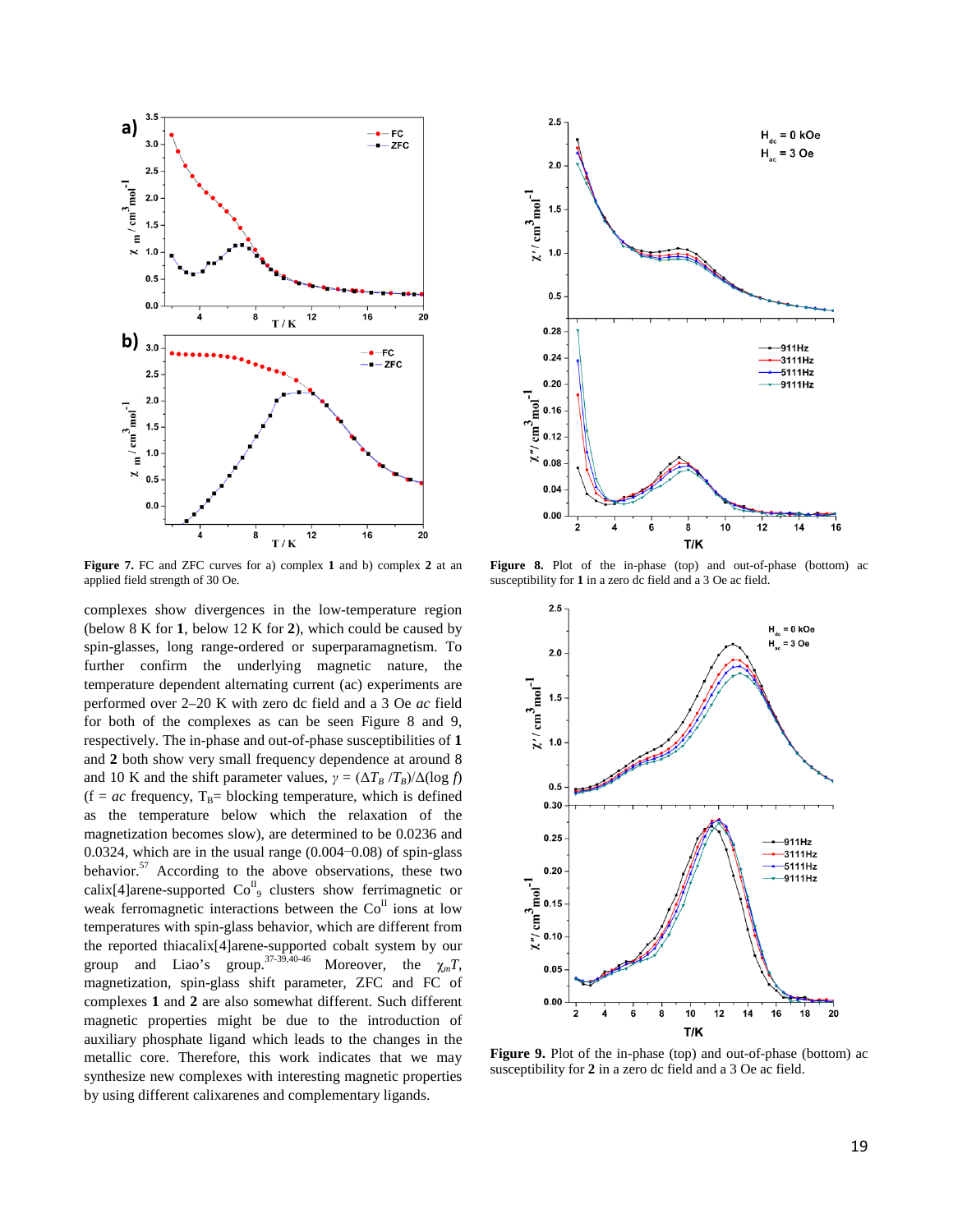

**Figure 7.** FC and ZFC curves for a) complex **1** and b) complex **2** at an applied field strength of 30 Oe.

complexes show divergences in the low-temperature region (below 8 K for **1**, below 12 K for **2**), which could be caused by spin-glasses, long range-ordered or superparamagnetism. To further confirm the underlying magnetic nature, the temperature dependent alternating current (ac) experiments are performed over 2–20 K with zero dc field and a 3 Oe *ac* field for both of the complexes as can be seen Figure 8 and 9, respectively. The in-phase and out-of-phase susceptibilities of **1** and **2** both show very small frequency dependence at around 8 and 10 K and the shift parameter values,  $\gamma = (\Delta T_B / T_B) / \Delta(\log f)$  $(f = ac$  frequency,  $T_B$ = blocking temperature, which is defined as the temperature below which the relaxation of the magnetization becomes slow), are determined to be 0.0236 and 0.0324, which are in the usual range (0.004−0.08) of spin-glass behavior.<sup>57</sup> According to the above observations, these two calix[4]arene-supported  $Co<sup>H</sup><sub>9</sub>$  clusters show ferrimagnetic or weak ferromagnetic interactions between the  $Co<sup>H</sup>$  ions at low temperatures with spin-glass behavior, which are different from the reported thiacalix[4]arene-supported cobalt system by our group and Liao's group.<sup>37-39,40-46</sup> Moreover, the  $\chi_m T$ , magnetization, spin-glass shift parameter, ZFC and FC of complexes **1** and **2** are also somewhat different. Such different magnetic properties might be due to the introduction of auxiliary phosphate ligand which leads to the changes in the metallic core. Therefore, this work indicates that we may synthesize new complexes with interesting magnetic properties by using different calixarenes and complementary ligands.



Figure 8. Plot of the in-phase (top) and out-of-phase (bottom) ac susceptibility for **1** in a zero dc field and a 3 Oe ac field.



**Figure 9.** Plot of the in-phase (top) and out-of-phase (bottom) ac susceptibility for **2** in a zero dc field and a 3 Oe ac field.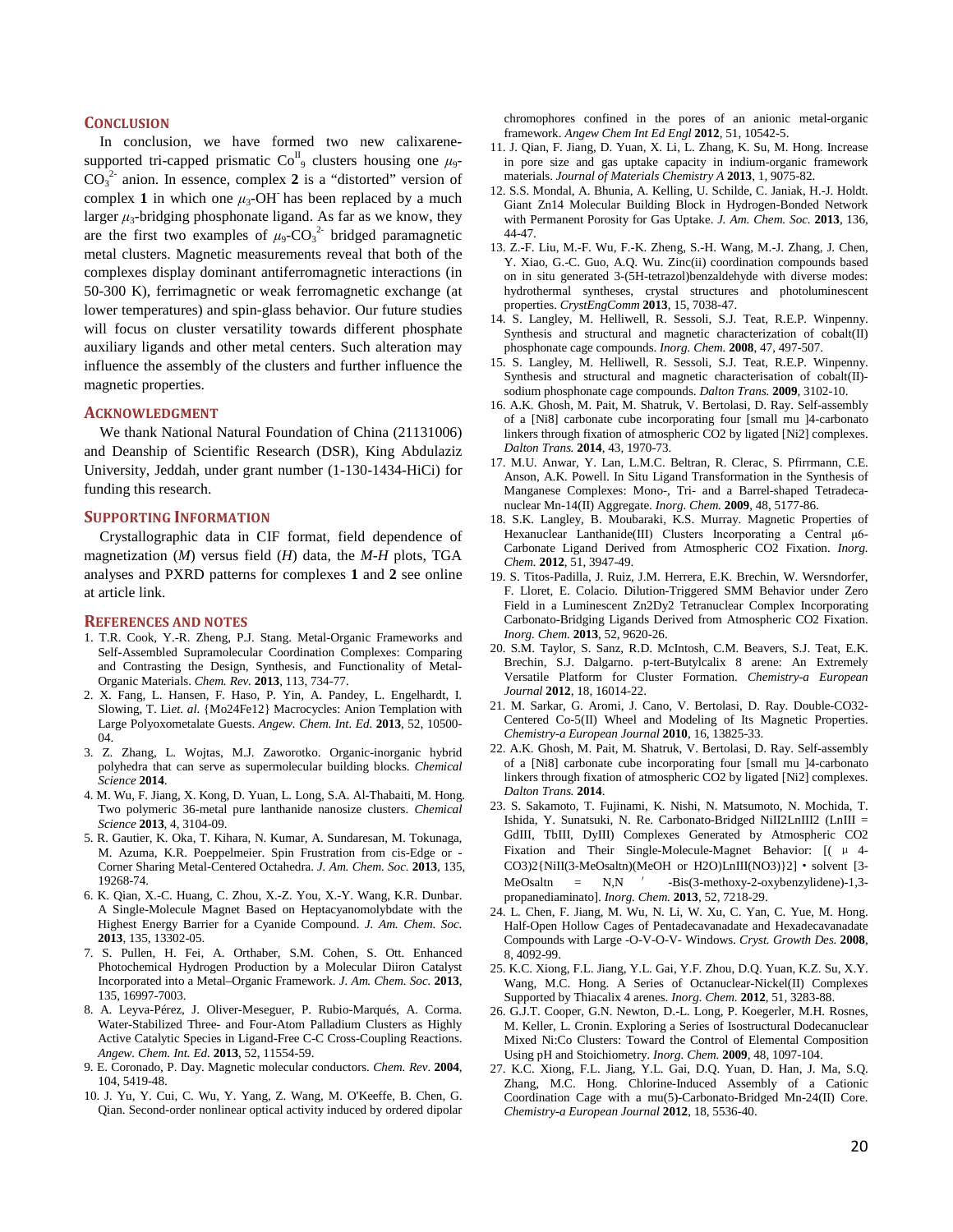#### **CONCLUSION**

In conclusion, we have formed two new calixarenesupported tri-capped prismatic Co<sup>II</sup><sub>9</sub> clusters housing one μ<sub>9</sub>- $CO<sub>3</sub><sup>2</sup>$  anion. In essence, complex 2 is a "distorted" version of complex 1 in which one  $\mu_3$ -OH has been replaced by a much larger  $\mu_3$ -bridging phosphonate ligand. As far as we know, they are the first two examples of  $\mu_9$ -CO<sub>3</sub><sup>2</sup> bridged paramagnetic metal clusters. Magnetic measurements reveal that both of the complexes display dominant antiferromagnetic interactions (in 50-300 K), ferrimagnetic or weak ferromagnetic exchange (at lower temperatures) and spin-glass behavior. Our future studies will focus on cluster versatility towards different phosphate auxiliary ligands and other metal centers. Such alteration may influence the assembly of the clusters and further influence the magnetic properties.

#### **ACKNOWLEDGMENT**

We thank National Natural Foundation of China (21131006) and Deanship of Scientific Research (DSR), King Abdulaziz University, Jeddah, under grant number (1-130-1434-HiCi) for funding this research.

#### **SUPPORTING INFORMATION**

Crystallographic data in CIF format, field dependence of magnetization (*M*) versus field (*H*) data, the *M*-*H* plots, TGA analyses and PXRD patterns for complexes **1** and **2** see online at article link.

#### **REFERENCES AND NOTES**

- 1. T.R. Cook, Y.-R. Zheng, P.J. Stang. Metal-Organic Frameworks and Self-Assembled Supramolecular Coordination Complexes: Comparing and Contrasting the Design, Synthesis, and Functionality of Metal-Organic Materials. *Chem. Rev.* **2013**, 113, 734-77.
- 2. X. Fang, L. Hansen, F. Haso, P. Yin, A. Pandey, L. Engelhardt, I. Slowing, T. Li*et. al.* {Mo24Fe12} Macrocycles: Anion Templation with Large Polyoxometalate Guests. *Angew. Chem. Int. Ed.* **2013**, 52, 10500- 04.
- 3. Z. Zhang, L. Wojtas, M.J. Zaworotko. Organic-inorganic hybrid polyhedra that can serve as supermolecular building blocks. *Chemical Science* **2014**.
- 4. M. Wu, F. Jiang, X. Kong, D. Yuan, L. Long, S.A. Al-Thabaiti, M. Hong. Two polymeric 36-metal pure lanthanide nanosize clusters. *Chemical Science* **2013**, 4, 3104-09.
- 5. R. Gautier, K. Oka, T. Kihara, N. Kumar, A. Sundaresan, M. Tokunaga, M. Azuma, K.R. Poeppelmeier. Spin Frustration from cis-Edge or - Corner Sharing Metal-Centered Octahedra. *J. Am. Chem. Soc.* **2013**, 135, 19268-74.
- 6. K. Qian, X.-C. Huang, C. Zhou, X.-Z. You, X.-Y. Wang, K.R. Dunbar. A Single-Molecule Magnet Based on Heptacyanomolybdate with the Highest Energy Barrier for a Cyanide Compound. *J. Am. Chem. Soc.* **2013**, 135, 13302-05.
- 7. S. Pullen, H. Fei, A. Orthaber, S.M. Cohen, S. Ott. Enhanced Photochemical Hydrogen Production by a Molecular Diiron Catalyst Incorporated into a Metal–Organic Framework. *J. Am. Chem. Soc.* **2013**, 135, 16997-7003.
- 8. A. Leyva-Pérez, J. Oliver-Meseguer, P. Rubio-Marqués, A. Corma. Water-Stabilized Three- and Four-Atom Palladium Clusters as Highly Active Catalytic Species in Ligand-Free C-C Cross-Coupling Reactions. *Angew. Chem. Int. Ed.* **2013**, 52, 11554-59.
- 9. E. Coronado, P. Day. Magnetic molecular conductors. *Chem. Rev.* **2004**, 104, 5419-48.
- 10. J. Yu, Y. Cui, C. Wu, Y. Yang, Z. Wang, M. O'Keeffe, B. Chen, G. Qian. Second-order nonlinear optical activity induced by ordered dipolar

chromophores confined in the pores of an anionic metal-organic framework. *Angew Chem Int Ed Engl* **2012**, 51, 10542-5.

- 11. J. Qian, F. Jiang, D. Yuan, X. Li, L. Zhang, K. Su, M. Hong. Increase in pore size and gas uptake capacity in indium-organic framework materials. *Journal of Materials Chemistry A* **2013**, 1, 9075-82.
- 12. S.S. Mondal, A. Bhunia, A. Kelling, U. Schilde, C. Janiak, H.-J. Holdt. Giant Zn14 Molecular Building Block in Hydrogen-Bonded Network with Permanent Porosity for Gas Uptake. *J. Am. Chem. Soc.* **2013**, 136, 44-47.
- 13. Z.-F. Liu, M.-F. Wu, F.-K. Zheng, S.-H. Wang, M.-J. Zhang, J. Chen, Y. Xiao, G.-C. Guo, A.Q. Wu. Zinc(ii) coordination compounds based on in situ generated 3-(5H-tetrazol)benzaldehyde with diverse modes: hydrothermal syntheses, crystal structures and photoluminescent properties. *CrystEngComm* **2013**, 15, 7038-47.
- 14. S. Langley, M. Helliwell, R. Sessoli, S.J. Teat, R.E.P. Winpenny. Synthesis and structural and magnetic characterization of cobalt(II) phosphonate cage compounds. *Inorg. Chem.* **2008**, 47, 497-507.
- 15. S. Langley, M. Helliwell, R. Sessoli, S.J. Teat, R.E.P. Winpenny. Synthesis and structural and magnetic characterisation of cobalt(II) sodium phosphonate cage compounds. *Dalton Trans.* **2009**, 3102-10.
- 16. A.K. Ghosh, M. Pait, M. Shatruk, V. Bertolasi, D. Ray. Self-assembly of a [Ni8] carbonate cube incorporating four [small mu ]4-carbonato linkers through fixation of atmospheric CO2 by ligated [Ni2] complexes. *Dalton Trans.* **2014**, 43, 1970-73.
- 17. M.U. Anwar, Y. Lan, L.M.C. Beltran, R. Clerac, S. Pfirrmann, C.E. Anson, A.K. Powell. In Situ Ligand Transformation in the Synthesis of Manganese Complexes: Mono-, Tri- and a Barrel-shaped Tetradecanuclear Mn-14(II) Aggregate. *Inorg. Chem.* **2009**, 48, 5177-86.
- 18. S.K. Langley, B. Moubaraki, K.S. Murray. Magnetic Properties of Hexanuclear Lanthanide(III) Clusters Incorporating a Central μ6- Carbonate Ligand Derived from Atmospheric CO2 Fixation. *Inorg. Chem.* **2012**, 51, 3947-49.
- 19. S. Titos-Padilla, J. Ruiz, J.M. Herrera, E.K. Brechin, W. Wersndorfer, F. Lloret, E. Colacio. Dilution-Triggered SMM Behavior under Zero Field in a Luminescent Zn2Dy2 Tetranuclear Complex Incorporating Carbonato-Bridging Ligands Derived from Atmospheric CO2 Fixation. *Inorg. Chem.* **2013**, 52, 9620-26.
- 20. S.M. Taylor, S. Sanz, R.D. McIntosh, C.M. Beavers, S.J. Teat, E.K. Brechin, S.J. Dalgarno. p-tert-Butylcalix 8 arene: An Extremely Versatile Platform for Cluster Formation. *Chemistry-a European Journal* **2012**, 18, 16014-22.
- 21. M. Sarkar, G. Aromi, J. Cano, V. Bertolasi, D. Ray. Double-CO32- Centered Co-5(II) Wheel and Modeling of Its Magnetic Properties. *Chemistry-a European Journal* **2010**, 16, 13825-33.
- 22. A.K. Ghosh, M. Pait, M. Shatruk, V. Bertolasi, D. Ray. Self-assembly of a [Ni8] carbonate cube incorporating four [small mu ]4-carbonato linkers through fixation of atmospheric CO2 by ligated [Ni2] complexes. *Dalton Trans.* **2014**.
- 23. S. Sakamoto, T. Fujinami, K. Nishi, N. Matsumoto, N. Mochida, T. Ishida, Y. Sunatsuki, N. Re. Carbonato-Bridged NiII2LnIII2 (LnIII = GdIII, TbIII, DyIII) Complexes Generated by Atmospheric CO2 Fixation and Their Single-Molecule-Magnet Behavior: [( μ 4- CO3)2{NiII(3-MeOsaltn)(MeOH or H2O)LnIII(NO3)}2]·solvent [3- MeOsaltn = N,N  $'$  -Bis(3-methoxy-2-oxybenzylidene)-1,3propanediaminato]. *Inorg. Chem.* **2013**, 52, 7218-29.
- 24. L. Chen, F. Jiang, M. Wu, N. Li, W. Xu, C. Yan, C. Yue, M. Hong. Half-Open Hollow Cages of Pentadecavanadate and Hexadecavanadate Compounds with Large -O-V-O-V- Windows. *Cryst. Growth Des.* **2008**, 8, 4092-99.
- 25. K.C. Xiong, F.L. Jiang, Y.L. Gai, Y.F. Zhou, D.Q. Yuan, K.Z. Su, X.Y. Wang, M.C. Hong. A Series of Octanuclear-Nickel(II) Complexes Supported by Thiacalix 4 arenes. *Inorg. Chem.* **2012**, 51, 3283-88.
- 26. G.J.T. Cooper, G.N. Newton, D.-L. Long, P. Koegerler, M.H. Rosnes, M. Keller, L. Cronin. Exploring a Series of Isostructural Dodecanuclear Mixed Ni:Co Clusters: Toward the Control of Elemental Composition Using pH and Stoichiometry. *Inorg. Chem.* **2009**, 48, 1097-104.
- 27. K.C. Xiong, F.L. Jiang, Y.L. Gai, D.Q. Yuan, D. Han, J. Ma, S.Q. Zhang, M.C. Hong. Chlorine-Induced Assembly of a Cationic Coordination Cage with a mu(5)-Carbonato-Bridged Mn-24(II) Core. *Chemistry-a European Journal* **2012**, 18, 5536-40.